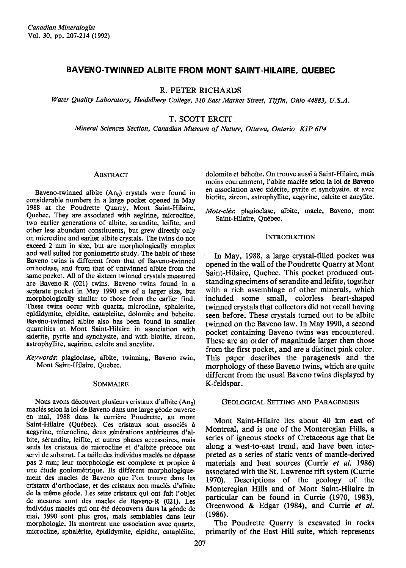# BAVENO-TWINNED ALBITE FROM MONT SAINT-HILAIRE, OUEBEC

R. PETER RICHARDS

Water Quality Laboratory, Heidelberg College, 310 East Market Street, Tiffin, Ohio 44883, U.S.A.

# T. SCOTT ERCIT

Mineral Sciences Section, Canadian Museum of Nature, Ottawa, Ontario KIP 6P4

### ABSTRACT

Baveno-twinned albite  $(An_0)$  crystals were found in considerable numbers in a large pocket opened in May 1988 at the Poudrette Quarry, Mont Saint-Hilaire, Quebec. They are associated with aegirine, microcline, two earlier generations of albite, serandite, leifite, and other less abundant constituents, but grew directly only on microcline and earlier albite crystals. The twins do not exceed 2 mm in size, but are morphologically complex and well suited for goniometric study. The habit of these Baveno twins is different from that of Baveno-twinned orthoclase, and from that of untwinned albite from the same pocket. All of the sixteen twinned crystals measured are Baveno-R (021) twins. Baveno twins found in a sephrate pocket in May 190 are of a larger size, but morphologically similar to those from the earlier find. These twins occur with quartz, microcline, sphalerite, epididymite, elpidite, catapleiite, dolomite and behoite. Baveno-twinned albite also has been found in smaller quantities at Mont Saint-Hilaire in association with siderite, pyrite and synchysite, and with biotite, zircon, astrophyllite, aegirine, calcite and ancylite.

Keywords: plagioclase, albite, twinning, Baveno twin, Mont Saint-Hilaire, Quebec.

#### SOMMAIRE

Nous avons découvert plusieurs cristaux d'albite (An<sub>o</sub>) maclés selon la loi de Baveno dans une large géode ouverte en mai, 1988 dans la carribre Poudrette, au mont Saint-Hilaire (Québec). Ces cristaux sont associés à aegyrine, microcline, deux générations antérieures d'albite, sérandite, leifite, et autres phases accessoires, mais seuls les cristaux de microcline et d'albite précoce ont servi de substrat. La taille des individus maclés ne dépasse pas 2 mm; leur morphologie est complexe et propice à une étude goniométrique. Ils diffèrent morphologiquement des macles de Baveno que I'on trouve dans les cristaux d'orthoclase, et des cristaux non maclés d'albite de la même géode. Les seize cristaux qui ont fait l'objet de mesures sont des macles de Baveno-R (021). Les individus maclés qui ont été découverts dans la géode de mai, 1990 sont plus gros, mais semblables dans leur morphologie. Ils montrent une association avec quartz, microcline, sphalérite, épididymite, elpidite, catapléiite,

dolomite et béhoïte. On trouve aussi à Saint-Hilaire, mais moins couramment, l'abite maclée selon la loi de Baveno en association avec sidérite, pyrite et synchysite, et avec biotite, zircon, astrophyllite, aegyrine, calcite et ancylite.

Mots-clés: plagioclase, albite, macle, Baveno, mont Saint-Hilaire, Québec.

### **INTRODUCTION**

In May, 1988, a large crystal-filled pocket was opened in the wall of the Poudrette Quarry at Mont Saint-Hilaire, Quebec. This pocket produced outstanding specimens of serandite and leifite, together with a rich assemblage of other minerals, which included some small, colorless heart-shaped twinned crystals that collectors did not recall having seen before. These crystals turned out to be albite twinned on the Baveno law. In May 1990, a second pockei containing Baveno twins was encountered. These are an order of magnitude larger than those from the first pocket, and are a distinct pink color. This paper describes the paragenesis and the morphology of these Baveno twins, which are quite different from the usual Baveno twins displayed by K-feldspar.

# GEOLOGICAL SETTING AND PARAGENESIS

Mont Saint-Hilaire lies about 40 km east of Montreal, and is one of the Monteregian Hills, a series of igneous stocks of Cretaceous age that lie along a west-to-east trend, and have been interpreted as a series of static vents of mantle-derived materials and heat sources (Currie et al. 1986) associated with the St. Lawrence rift system (Currie 1970). Descriptions of the geology of the Monteregian Hills and of Mont Saint-Hilaire in particular can be found in Currie (1970, 1983), Greenwood & Edgar (1984), and Currie et al. (1986).

The Poudrette Quarry is excavated in rocks primarily of the East Hill suite, which represents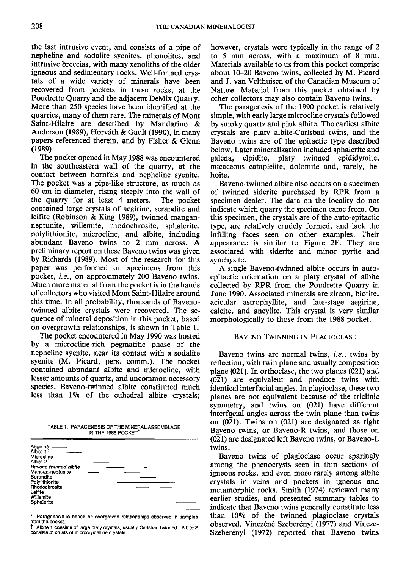the last intrusive event, and consists of a pipe of nepheline and sodalite syenites, phonolites, and intrusive breccias, with many xenoliths of the older igneous and sedimentary rocks. Well-formed crystals of a wide variety of minerals have been recovered from pockets in these rocks, at the Poudrette Quarry and the adjacent DeMix Quarry. More than 250 species have been identified at the quarries, many of them rare. The minerals of Mont Saint-Hilaire are described by Mandarino & Anderson (1989), Horváth & Gault (1990), in many papers referenced therein, and by Fisher & Glenn (1989).

The pocket opened in May 1988 was encountered in the southeastern wall of the quarry, at the contact between hornfels and nepheline syenite. The pocket was a pipe-like structure, as much as 60 cm in diameter, rising steeply into the wall of the quarry for at least 4 meters. The pocket contained large crystals of aegirine, serandite and leifite (Robinson & King 1989), twinned manganneptunite, willemite, rhodochrosite, sphalerite, polylithionite, microcline, and albite, including abundant Baveno twins to 2 mm across. A preliminary report on these Baveno twins was given by Richards (1989). Most of the research for this paper was performed on specimens from this pocket, i.e., on approximately 2@ Baveno twins. Much more material from the pocket is in the hands of collectors who visited Mont Saint-Hilaire around this time. In all probability, thousands of Bavenotwinned albite crystals were recovered. The sequence of mineral deposition in this pocket, based on overgrowth relationships, is shown in Table l.

The pocket encountered in May 1990 was hosted by a microcline-rich pegmatitic phase of the nepheline syenite, near its contact with a sodalite syenite (M. Picard, pers. comm.). The pocket contained abundant albite and microcline, with Iesser amounts of quartz, and uncommon accessory species. Baveno-twinned albite constituted much less than 1% of the euhedral albite crystals;

TABLE 1. PARAGENESIS OF THE MINERAL ASSEMBLAGE IN THE 1988 POCKET.

| Aegirine<br>Albite 1 <sup>t</sup><br>Microcline<br>Albite 2 <sup>t</sup><br>Baveno-twinned albite<br>Mangan-neptunite<br>Serandite<br>Polylithionite<br>Rhodochrosite<br>Leifite<br>Willemite<br>Sphalerite |  |  |
|-------------------------------------------------------------------------------------------------------------------------------------------------------------------------------------------------------------|--|--|
|                                                                                                                                                                                                             |  |  |

Paragenesis is based on overgrowth relationships observed in samples from the pocket.

T Albite 1 consists of large platy crystals, usually Carlsbad twinned. Albite 2<br>consists of crusts of microcrystalline crystals.

however, crystals were typically in the range of 2 to 5 mm across, with a maximum of 8 mm. Materials available to us from this pocket comprise about 10-20 Baveno twins, collected by M. Picard and J. van Velthuisen of the Canadian Museum of Nature. Material from this pocket obtained by other collectors may also contain Baveno twins.

The paragenesis of the 1990 pocket is relatively simple, with early large microcline crystals followed by smoky quartz and pink albite. The earliest albite crystals are platy albite-Carlsbad twins, and the Baveno twins are of the epitactic type described below. Later mineralization included sphalerite and galena, elpidite, platy twinned epididymite, micaceous catapleiite, dolomite and, rarely, behoite.

Baveno-twinned albite also occurs on a specimen of twinned siderite purchased by RPR from a specimen dealer. The data on the locality do not indicate which quarry the specimen came from. On this specimen, the crystals are of the auto-epitactic type, are relatively crudely formed, and lack the infilling faces seen on other examples. Their appearance is similar to Figure 2F. They are associated with siderite and minor pyrite and synchysite.

A single Baveno-twinned albite occurs in autoepitactic orientation on a platy crystal of albite collected by RPR from the Poudrette Quarry in June 1990. Associated minerals are zircon, biotite, acicular astrophyllite, and late-stage aegirine, calcite, and ancylite. This crystal is very similar morphologically to those from the 1988 pocket.

# BAVENO TWINNING IN PLAGIOCLASE

Baveno twins are normal twins, i.e., twins by reflection, with twin plane and usually composition plane  ${021}$ . In orthoclase, the two planes  $(021)$  and (021) are equivalent and produce twins with identical interfacial angles. In plagioclase, these two planes are not equivalent because of the triclinic symmetry, and twins on (021) have different interfacial angles across the twin plane than twins on (021). Twins on (021) are designated as right Baveno twins, or Baveno-R twins, and those on (021) are designated left Baveno twins, or Baveno-L twins.

Baveno twins of plagioclase occur sparingly among the phenocrysts seen in thin sections of igneous rocks, and even more rarely among albite crystals in veins and pockets in igneous and metamorphic rocks. Smith (1974) reviewed many earlier studies, and presented summary tables to indicate that Baveno twins generally constitute less than 10% of the twinned plagioclase crystals observed. Vinczéné Szeberényi (1977) and Vincze-Szeberényi (1972) reported that Baveno twins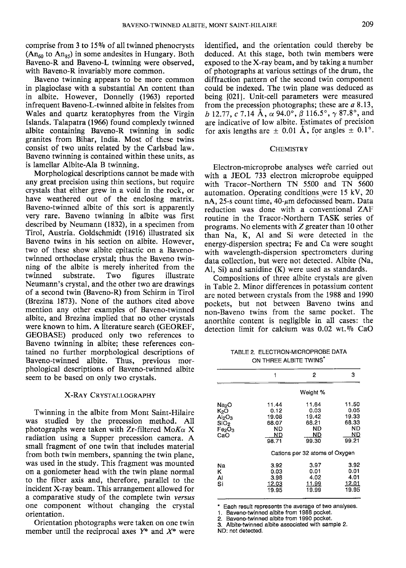comprise from 3 to 15Vo of all twinned phenocrysts  $(An_{60}$  to  $An_{85})$  in some andesites in Hungary. Both Baveno-R and Baveno-L twinning were observed, with Baveno-R invariably more common.

Baveno twinning appears to be more common in plagioclase with a substantial An content than in albite. However, Donnelly (1963) reported infrequent Baveno-L-twinned albite in felsites from Wales and quartz keratophyres from the Virgin lslands. Talapatra (1966) found complexly twinned albite containing Baveno-R twinning in sodic granites from Bihar, India. Most of these twins consist of two units related by the Carlsbad law. Baveno twinning is contained within these units, as is lamellar Albite-Ala B twinning.

Morphological descriptions cannot be made with any great precision using thin sections, but require crystals that either grew in a void in the rock, or have weathered out of the enclosing matrix. Baveno-twinned albite of this sort is apparently very rare. Baveno twinning in albite was first described by Neumann (1832), in a specimen from Tirol, Austria. Goldschmidt (1916) illustrated six Baveno twins in his section on albite. However, two of these show albite epitactic on a Bavenotwinned orthoclase crystal; thus the Baveno twinning of the albite is merely inherited from the twinned substrate. Two figures illustrate substrate. Two figures illustrate Neumann's crystal, and the other two are drawings of a second twin (Baveno-R) from Schirm in Tirol (Brezina 1873). None of the authors cited above mention any other examples of Baveno-twinned albite, and Brezina implied that no other crystals were known to him. A literature search (GEOREF, GEOBASE) produced only two references to Baveno twinning in albite; these references contained no further morphological descriptions of Baveno-twinned albite. Thus, previous morphological descriptions of Baveno-twinned albite seem to be based on only two crystals.

# X-RAY CRYSTALLOGRAPHY

Twinning in the albite from Monr Saint-Hilaire was studied by the precession method. All photographs were taken with Zr-filtered Mo $K\alpha$  X radiation using a Supper precession camera. A small fragment of one twin that includes material from both twin members, spanning the twin plane, was used in the study. This fragment was mounted on a goniometer head with the twin plane normal to the fiber axis and, therefore, parallel to the incident X-ray beam. This arrangement allowed for a comparative study of the complete twin versus one component without changing the crystal orientation.

Orientation photographs were taken on one twin member until the reciprocal axes  $Y^*$  and  $X^*$  were identified, and the orientation could thereby be deduced. At this stage, both twin members were exposed to the X-ray beam, and by taking a number of photographs at various settings of the drum, the diffraction pattern of the second twin component could be indexed. The twin plane was deduced as being [021]. Unit-cell parameters were measured from the precession photographs; these are  $a \, 8.13$ , b 12.77, c 7.14 Å,  $\alpha$  94.0°,  $\beta$  116.5°,  $\gamma$  87.8°, and are indicative of low albite. Estimates of precision for axis lengths are  $\pm$  0.01 Å, for angles  $\pm$  0.1°.

# **CHEMISTRY**

Electron-microprobe analyses were carried out with a JEOL 733 electron microprobe equipped with Tracor-Northern TN 5500 and TN 5600 automation. Operating conditions were  $15 \text{ kV}$ ,  $20$ nA, 25-s count time,  $40$ - $\mu$ m defocussed beam. Data reduction was done with a conventional ZAF routine in the Tracor-Northern TASK series of programs. No elements with Z greater than 10 other than Na, K, Al and Si were detected in the energy-dispersion spectra; Fe and Ca were sought with wavelength-dispersion spectrometers during data collection, but were not detected. Albite (Na, Al, Si) and sanidine (K) were used as standards.

Compositions of three albite crystals are given in Table 2. Minor differences in potassium content are noted between crystals from the 1988 and 1990 pockets, but not between Baveno twins and non-Baveno twins from the same pocket. The anorthite content is negligible in all cases: the detection limit for calcium was 0.02 wt.9o CaO

TABLE 2. ELECTRON-MICROPROBE DATA ON THREE ALBITE TWINS\*

|                                                                                   |                                                      | 2                                                    | з                                                    |
|-----------------------------------------------------------------------------------|------------------------------------------------------|------------------------------------------------------|------------------------------------------------------|
|                                                                                   |                                                      | Weight %                                             |                                                      |
| Na2O<br>K2O<br>Al <sub>2</sub> O <sub>3</sub><br>SiO <sub>2</sub><br>Fe2O3<br>CaO | 11.44<br>0.12<br>19.08<br>68.07<br>ND<br>ND<br>98.71 | 11.64<br>0.03<br>19.42<br>68.21<br>ND<br>ND<br>99.30 | 11.50<br>0.05<br>19.33<br>68.33<br>ND<br>ND<br>99.21 |
|                                                                                   |                                                      | Cations per 32 atoms of Oxygen                       |                                                      |
| Nа<br>κ<br>AI<br>Si                                                               | 3.92<br>0.03<br>3.98<br>12.03<br>19.95               | 3.97<br>0.01<br>4.02<br>11.99<br>19.99               | 3.92<br>0.01<br>4.01<br>12.01<br>19.95               |

Each result represents the average of two analyses.

1. Baveno-twinned albite from 1988 pocket.

Baveno-twinned albite from 1990 pocket.

Albite-twinned albite associated with sample 2. ND: not dolected.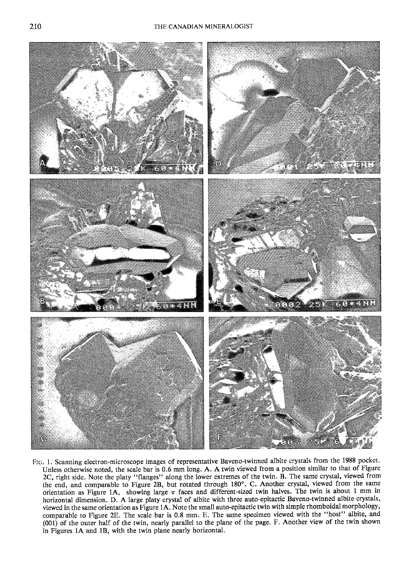

Frc. l. Scanning electron-microscope images of representative Baveno-twinned albite crystals from the 1988 pocket. Unless otherwise noted, the scale bar is 0.6 mm long. A. A twin viewed from a position similar to that of Figure 2C, right side. Note the platy "flanges" along the lower extremes of the twin. B. The same crystal, viewed from the end, and comparable to Figure 2B, but rotated through 180°. C. Another crystal, viewed from the same orientation as Figure 1A, showing large  $\pi$  faces and different-sized twin halves. The twin is about 1 mm in horizontal dimension. D. A large platy crystal of albite with three auto-epitactic Baveno-twinned albite crystals, viewed in the same orientarion as Figure 1A. Note the small auto-epitactic twin with simple rhomboidal morphology' comparable to Figure 2E. The scale bar is 0.8 mm. E. The same specimen viewed with the "host" albite, and (001) of the outer half of the twin, nearly parallel to the plane of the page. F. Another view of the twin shown in Figures 1A and lB, with the twin plane nearly horizontal.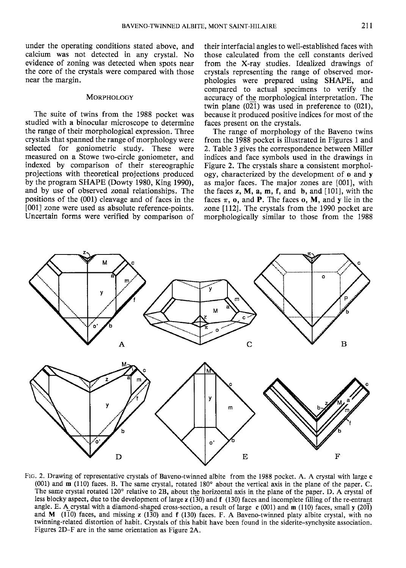under the operating conditions stated above, and calcium was not detected in any crystal. No evidence of zoning was detected when spots near the core of the crystals were compared with those near the margin.

## **MORPHOLOGY**

The suite of twins from the 1988 pocket was studied with a binocular microscope to determine the range of their morphological expression. Three crystals that spanned the range of morphology were selected for goniometric study. These were measured on a Stowe two-circle goniometer, and indexed by comparison of their stereographic projections with theoretical projections produced by the program SHAPE (Dowty 1980, King 1990), and by use of observed zonal relationships. The positions of the (001) cleavage and of faces in the [001] zone were used as absolute reference-points. Uncertain forms were verified by comparison of their interfacial angles to well-established faces with those calculated from the cell constants derived from the X-ray studies. Idealized drawings of crystals representing the range of observed morphologies were prepared using SHAPE, and compared to actual specimens to verify the accuracy of the morphological interpretation. The twin plane  $(0\overline{21})$  was used in preference to  $(0\overline{21})$ , because it produced positive indices for most of the faces present on the crystals.

The range of morphology of the Baveno twins from the 1988 pocket is illustrated in Figures 1 and 2. Table 3 gives the correspondence between Miller indices and face symbols used in the drawings in Figure 2. The crystals share a consistent morphology, characterized by the development of o and y as major faces. The major zones are [001], with the faces  $z$ , M,  $a$ , m, f, and  $b$ , and [101], with the faces  $\pi$ , **o**, and **P**. The faces **o**, **M**, and **y** lie in the zone [112]. The crystals from the 1990 pocket are morphologically similar to those from the 1988



Fto. 2. Drawing of representative crystals of Baveno-twinned albite from the 1988 pocket. A. A crystal with large c (001) and  $m$  (110) faces. B. The same crystal, rotated 180 $^{\circ}$  about the vertical axis in the plane of the paper. C. The same crystal rotated 120° relative to 2B, about the horizontal axis in the plane of the paper. D. A crystal of less blocky aspect, due to the development of large  $z(130)$  and  $f(130)$  faces and incomplete filling of the re-entrant angle. E. A crystal with a diamond-shaped cross-section, a result of large c (001) and m (110) faces, small y (20I) and  $M$  (110) faces, and missing  $z$  (130) and  $f$  (130) faces. F. A Baveno-twinned platy albite crystal, with no twinning-related distortion of habit. Crystals of this habit have been iound in the siderite-synchysite association. Figures 2D-F are in the same orientation as Figure 24.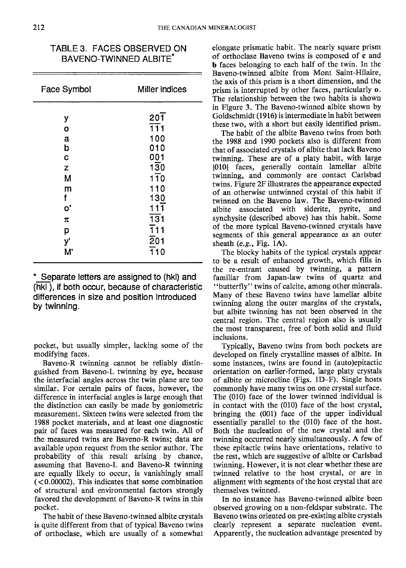TABLE3. FACES OBSERVED ON BAVENO.TWINNED ALBITE'

| Face Symbol | Miller indices   |  |
|-------------|------------------|--|
| у           | $20\overline{1}$ |  |
| O           | 111              |  |
| a           | 100              |  |
| b           | 010              |  |
| C           | 001              |  |
| Z           | 130              |  |
| М           | $1\overline{1}0$ |  |
| m           | 110              |  |
| f           | 130              |  |
| o'          | $11\overline{1}$ |  |
| π           | $\overline{131}$ |  |
| p           | $\overline{1}11$ |  |
| y'          | $\overline{2}01$ |  |
| M.          | <u> 110</u>      |  |

\* Separate letters are assigned to (hkl) and (hkl ), if both occur, because of characteristic differences in size and position introduced by twinning.

pocket, but usually simpler, lacking some of the modifying faces.

Baveno-R twinning cannot be reliably distinguished from Baveno-L twinning by eye, because the interfacial angles across the twin plane are too similar. For certain pairs of faces, however, the difference in interfacial angles is large enough that the distinction can easily be made by goniometric measurement. Sixteen twins were selected from the 1988 pocket materials, and at least one diagnostic pair of faces was measured for each twin. All of the measured twins are Baveno-R twins; data are available upon request from the senior author. The probability of this result arising by chance, assuming that Baveno-L and Baveno-R twinning are equally likely to occur, is vanishingly small (<0.00002). This indicates that some combination of structural and environmental factors strongly favored the development of Baveno-R twins in this pocket.

The habit of these Baveno-twinned albite crystals is quite different from that of typical Baveno twins of orihoclase, which are usually of a somewhat elongate prismatic habit. The nearly square prism of orthoclase Baveno twins is composed of c and b faces belonging to each half of the twin. In the Baveno-twinned albite from Mont Saint-Hilaire, the axis of this prism is a short dimension, and the prism is interrupted by other faces, particularly o. The relationship between the two habits is shown in Figure 3. The Baveno-twinned albite shown by Goldschmidt (1916) is intermediate in habit between these two, with a short but easily identified prism.

The habit of the albite Baveno twins from both the 1988 and 1990 pockets also is different from that of associated crystals of albite that lack Baveno twinning. These are of a platy habit, with large t0l0l faces, generally contain lamellar albite twinning, and commonly are contact Carlsbad twins. Figure 2F illustrates the appearance expected of an otherwise untwinned crystal of this habit if twinned on the Baveno law. The Baveno-twinned<br>albite associated with siderite, pyrite, and albite associated with siderite, pyrite, synchysite (described above) has this habit. Some of the more typical Baveno-twinned crystals have segments of this general appearance as an outer sheath  $(e.g., Fig. 1A)$ .

The blocky habits of the typical crystals appear to be a result of enhanced growth, which fills in the re-entrant caused by twinning, a pattern familiar from Japan-law twins of quartz and "butterfly" twins of calcite, among other minerals. Many of these Baveno twins have lamellar albite twinning along the outer margins of the crystals, but albite twinning has not been observed in the central region. The central region also is usually the most transparent, free of both solid and fluid inclusions.

Typically, Baveno twins from both pockets are developed on finely crystalline masses of albite. In some instances, twins are found in (auto)epitactic orientation on earlier-formed, large platy crystals of albite or microcline (Figs. lD-F). Single hosts commonly have many twins on one crystal surface. The (010) face of the lower twinned individual is in contact with the (010) face of the host crystal, bringing the (001) face of the upper individual essentially parallel to the (010) face of the host. Both the nucleation of the new crystal and the twinning occurred nearly simultaneously. A few of these epitactic twins have orientations, relative to the rest, which are suggestive of albite or Carlsbad twinning. However, it is not clear whether these are twinned relative to the host crystal, or are in alignment with segments of the host crystal that are themselves twinned.

In no instance has Baveno-twinned albite been observed growing on a non-feldspar substrate. The Baveno twins oriented on pre-existing albite crystals clearly represent a separate nucleation event. Apparently, the nucleation advantage presented by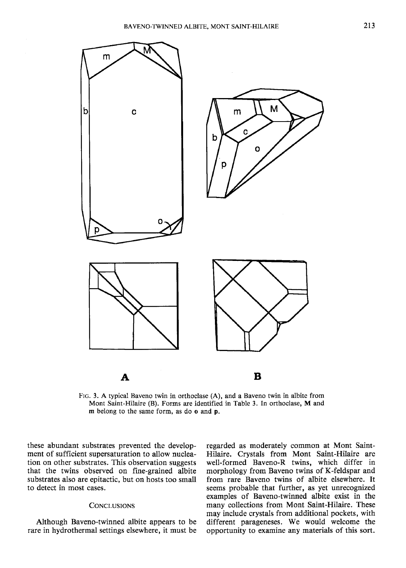

FIG. 3. A typical Baveno twin in orthoclase  $(A)$ , and a Baveno twin in albite from Mont Saint-Hilaire (B). Forms are identified in Table 3. In orthoclase, M and m belong to the same form, as do o and p.

these abundant substrates prevented the development of sufficient supersaturation to allow nucleation on other substrates. This observation suggests that the twins observed on fine-grained albite substrates also are epitactic, but on hosts too small to detect in most cases.

### CONCLUSIONS

Although Baveno-twinned albite appears to be rare in hydrothermal settings elsewhere, it must be

regarded as moderately common at Mont Saint-Hilaire. Crystals from Mont Saint-Hilaire are well-formed Baveno-R twins, which differ in morphology from Baveno twins of K-feldspar and from rare Baveno twins of albite elsewhere. It seems probable that further, as yet unrecognized examples of Baveno-twinned albite exist in the many collections from Mont Saint-Hilaire. These may include crystals from additional pockets, with different parageneses. We would welcome the opportunity to examine any materials of this sort.